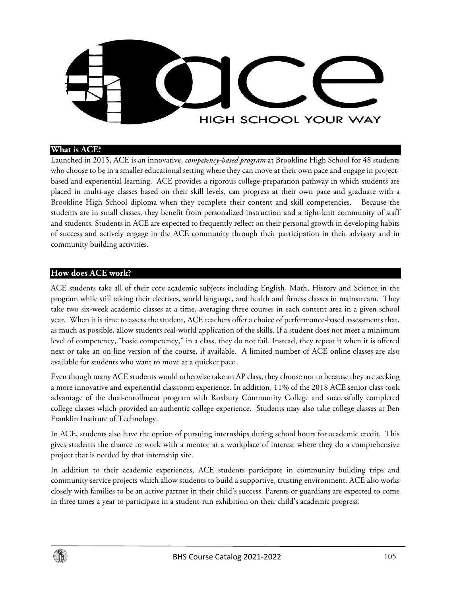

## **What is ACE?**

Launched in 2015, ACE is an innovative, *competency-based program* at Brookline High School for 48 students who choose to be in a smaller educational setting where they can move at their own pace and engage in projectbased and experiential learning. ACE provides a rigorous college-preparation pathway in which students are placed in multi-age classes based on their skill levels, can progress at their own pace and graduate with a Brookline High School diploma when they complete their content and skill competencies. Because the students are in small classes, they benefit from personalized instruction and a tight-knit community of staff and students. Students in ACE are expected to frequently reflect on their personal growth in developing habits of success and actively engage in the ACE community through their participation in their advisory and in community building activities.

## **How does ACE work?**

ACE students take all of their core academic subjects including English, Math, History and Science in the program while still taking their electives, world language, and health and fitness classes in mainstream. They take two six-week academic classes at a time, averaging three courses in each content area in a given school year. When it is time to assess the student, ACE teachers offer a choice of performance-based assessments that, as much as possible, allow students real-world application of the skills. If a student does not meet a minimum level of competency, "basic competency," in a class, they do not fail. Instead, they repeat it when it is offered next or take an on-line version of the course, if available. A limited number of ACE online classes are also available for students who want to move at a quicker pace.

Even though many ACE students would otherwise take an AP class, they choose not to because they are seeking a more innovative and experiential classroom experience. In addition, 11% of the 2018 ACE senior class took advantage of the dual-enrollment program with Roxbury Community College and successfully completed college classes which provided an authentic college experience. Students may also take college classes at Ben Franklin Institute of Technology.

In ACE, students also have the option of pursuing internships during school hours for academic credit. This gives students the chance to work with a mentor at a workplace of interest where they do a comprehensive project that is needed by that internship site.

In addition to their academic experiences, ACE students participate in community building trips and community service projects which allow students to build a supportive, trusting environment. ACE also works closely with families to be an active partner in their child's success. Parents or guardians are expected to come in three times a year to participate in a student-run exhibition on their child's academic progress.

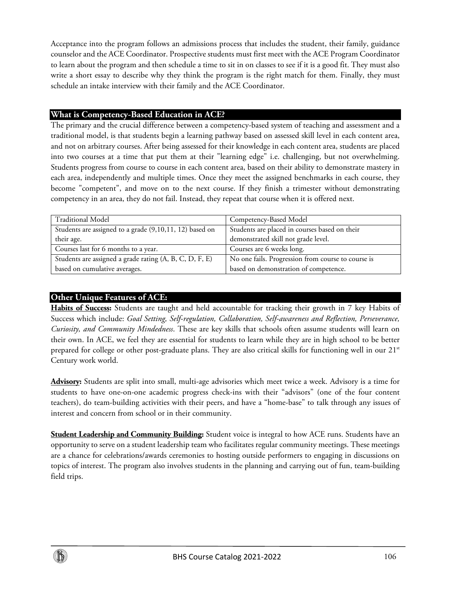Acceptance into the program follows an admissions process that includes the student, their family, guidance counselor and the ACE Coordinator. Prospective students must first meet with the ACE Program Coordinator to learn about the program and then schedule a time to sit in on classes to see if it is a good fit. They must also write a short essay to describe why they think the program is the right match for them. Finally, they must schedule an intake interview with their family and the ACE Coordinator.

## **What is Competency-Based Education in ACE?**

The primary and the crucial difference between a competency-based system of teaching and assessment and a traditional model, is that students begin a learning pathway based on assessed skill level in each content area, and not on arbitrary courses. After being assessed for their knowledge in each content area, students are placed into two courses at a time that put them at their "learning edge" i.e. challenging, but not overwhelming. Students progress from course to course in each content area, based on their ability to demonstrate mastery in each area, independently and multiple times. Once they meet the assigned benchmarks in each course, they become "competent", and move on to the next course. If they finish a trimester without demonstrating competency in an area, they do not fail. Instead, they repeat that course when it is offered next.

| <b>Traditional Model</b>                                | Competency-Based Model                             |  |
|---------------------------------------------------------|----------------------------------------------------|--|
| Students are assigned to a grade (9,10,11, 12) based on | Students are placed in courses based on their      |  |
| their age.                                              | demonstrated skill not grade level.                |  |
| Courses last for 6 months to a year.                    | Courses are 6 weeks long.                          |  |
| Students are assigned a grade rating (A, B, C, D, F, E) | No one fails. Progression from course to course is |  |
| based on cumulative averages.                           | based on demonstration of competence.              |  |

# **Other Unique Features of ACE:**

**Habits of Success:** Students are taught and held accountable for tracking their growth in 7 key Habits of Success which include: *Goal Setting, Self-regulation, Collaboration, Self-awareness and Reflection, Perseverance, Curiosity, and Community Mindedness*. These are key skills that schools often assume students will learn on their own. In ACE, we feel they are essential for students to learn while they are in high school to be better prepared for college or other post-graduate plans. They are also critical skills for functioning well in our 21<sup>st</sup> Century work world.

**Advisory:** Students are split into small, multi-age advisories which meet twice a week. Advisory is a time for students to have one-on-one academic progress check-ins with their "advisors" (one of the four content teachers), do team-building activities with their peers, and have a "home-base" to talk through any issues of interest and concern from school or in their community.

**Student Leadership and Community Building:** Student voice is integral to how ACE runs. Students have an opportunity to serve on a student leadership team who facilitates regular community meetings. These meetings are a chance for celebrations/awards ceremonies to hosting outside performers to engaging in discussions on topics of interest. The program also involves students in the planning and carrying out of fun, team-building field trips.

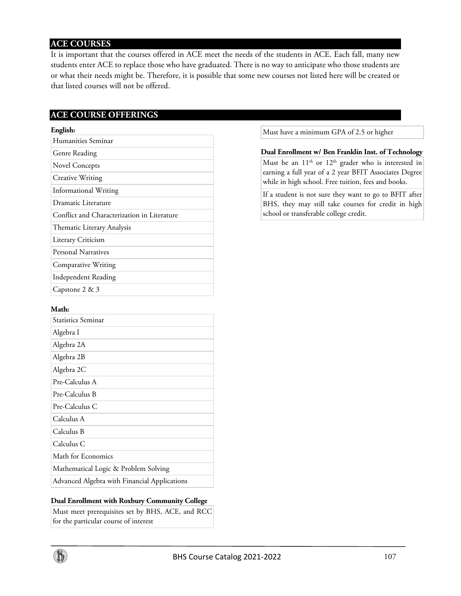# **ACE COURSES**

It is important that the courses offered in ACE meet the needs of the students in ACE. Each fall, many new students enter ACE to replace those who have graduated. There is no way to anticipate who those students are or what their needs might be. Therefore, it is possible that some new courses not listed here will be created or that listed courses will not be offered.

# **ACE COURSE OFFERINGS**

#### **English:**

| Humanities Seminar                          |
|---------------------------------------------|
| Genre Reading                               |
| <b>Novel Concepts</b>                       |
| Creative Writing                            |
| <b>Informational Writing</b>                |
| Dramatic Literature                         |
| Conflict and Characterization in Literature |
| Thematic Literary Analysis                  |
| Literary Criticism                          |
| Personal Narratives                         |
| Comparative Writing                         |
| Independent Reading                         |
| Capstone 2 & 3                              |

#### **Math:**

| Statistics Seminar                           |  |  |
|----------------------------------------------|--|--|
| Algebra I                                    |  |  |
| Algebra 2A                                   |  |  |
| Algebra 2B                                   |  |  |
| Algebra 2C                                   |  |  |
| Pre-Calculus A                               |  |  |
| Pre-Calculus B                               |  |  |
| Pre-Calculus C                               |  |  |
| Calculus A                                   |  |  |
| Calculus B                                   |  |  |
| Calculus C                                   |  |  |
| Math for Economics                           |  |  |
| Mathematical Logic & Problem Solving         |  |  |
| Advanced Algebra with Financial Applications |  |  |

## **Dual Enrollment with Roxbury Community College**

Must meet prerequisites set by BHS, ACE, and RCC for the particular course of interest

Must have a minimum GPA of 2.5 or higher

**Dual Enrollment w/ Ben Franklin Inst. of Technology** Must be an  $11<sup>th</sup>$  or  $12<sup>th</sup>$  grader who is interested in earning a full year of a 2 year BFIT Associates Degree while in high school. Free tuition, fees and books.

If a student is not sure they want to go to BFIT after BHS, they may still take courses for credit in high school or transferable college credit.

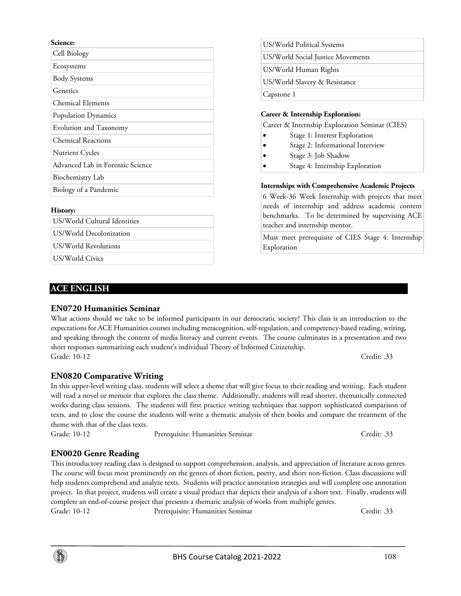# BHS Course Catalog 2021-2022 108

|  | Course Catalog 2021-2022 |  |
|--|--------------------------|--|
|  |                          |  |

| Cell Biology                     |
|----------------------------------|
| Ecosystems                       |
| <b>Body Systems</b>              |
| Genetics                         |
| Chemical Elements                |
| Population Dynamics              |
| Evolution and Taxonomy           |
| <b>Chemical Reactions</b>        |
| <b>Nutrient Cycles</b>           |
| Advanced Lab in Forensic Science |
| Biochemistry Lab                 |
| Biology of a Pandemic            |

## **History:**

| US/World Cultural Identities |
|------------------------------|
| US/World Decolonization      |
| US/World Revolutions         |
| US/World Civics              |
|                              |

# **ACE ENGLISH**

# **EN0720 Humanities Seminar**

## What actions should we take to be informed participants in our democratic society? This class is an introduction to the expectations for ACE Humanities courses including metacognition, self-regulation, and competency-based reading, writing, and speaking through the content of media literacy and current events. The course culminates in a presentation and two short responses summarizing each student's individual Theory of Informed Citizenship. Grade: 10-12 Credit: .33

# **EN0820 Comparative Writing**

In this upper-level writing class, students will select a theme that will give focus to their reading and writing. Each student will read a novel or memoir that explores the class theme. Additionally, students will read shorter, thematically connected works during class sessions. The students will first practice writing techniques that support sophisticated comparison of texts, and to close the course the students will write a thematic analysis of their books and compare the treatment of the theme with that of the class texts.

Grade: 10-12 Prerequisite: Humanities Seminar Credit: .33

# **EN0020 Genre Reading**

This introductory reading class is designed to support comprehension, analysis, and appreciation of literature across genres. The course will focus most prominently on the genres of short fiction, poetry, and short non-fiction. Class discussions will help students comprehend and analyze texts. Students will practice annotation strategies and will complete one annotation project. In that project, students will create a visual product that depicts their analysis of a short text. Finally, students will complete an end-of-course project that presents a thematic analysis of works from multiple genres. Grade: 10-12 Prerequisite: Humanities Seminar Credit: .33

US/World Political Systems US/World Social Justice Movements US/World Human Rights US/World Slavery & Resistance Capstone 1

## **Career & Internship Exploration:**

Career & Internship Exploration Seminar (CIES)

- Stage 1: Interest Exploration
- Stage 2: Informational Interview
- Stage 3: Job Shadow
- Stage 4: Internship Exploration

# **Internships with Comprehensive Academic Projects**

6 Week-36 Week Internship with projects that meet needs of internship and address academic content benchmarks. To be determined by supervising ACE teacher and internship mentor.

Must meet prerequisite of CIES Stage 4: Internship Exploration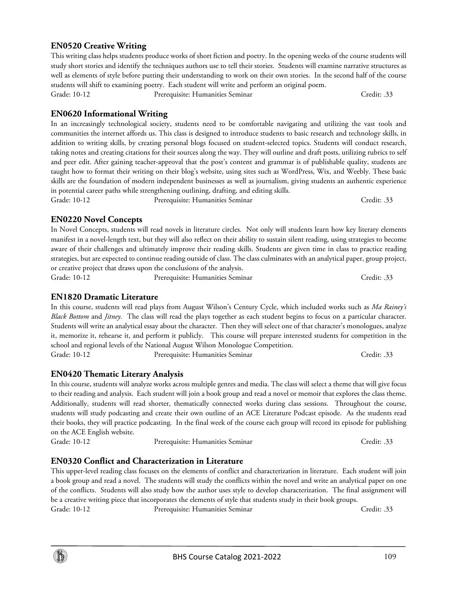# **EN0520 Creative Writing**

#### This writing class helps students produce works of short fiction and poetry. In the opening weeks of the course students will study short stories and identify the techniques authors use to tell their stories. Students will examine narrative structures as well as elements of style before putting their understanding to work on their own stories. In the second half of the course students will shift to examining poetry. Each student will write and perform an original poem. Grade: 10-12 Prerequisite: Humanities Seminar Credit: .33

**EN0620 Informational Writing**

In an increasingly technological society, students need to be comfortable navigating and utilizing the vast tools and communities the internet affords us. This class is designed to introduce students to basic research and technology skills, in addition to writing skills, by creating personal blogs focused on student-selected topics. Students will conduct research, taking notes and creating citations for their sources along the way. They will outline and draft posts, utilizing rubrics to self and peer edit. After gaining teacher-approval that the post's content and grammar is of publishable quality, students are taught how to format their writing on their blog's website, using sites such as WordPress, Wix, and Weebly. These basic skills are the foundation of modern independent businesses as well as journalism, giving students an authentic experience in potential career paths while strengthening outlining, drafting, and editing skills. Grade: 10-12 Prerequisite: Humanities Seminar Credit: .33

# **EN0220 Novel Concepts**

In Novel Concepts, students will read novels in literature circles. Not only will students learn how key literary elements manifest in a novel-length text, but they will also reflect on their ability to sustain silent reading, using strategies to become aware of their challenges and ultimately improve their reading skills. Students are given time in class to practice reading strategies, but are expected to continue reading outside of class. The class culminates with an analytical paper, group project, or creative project that draws upon the conclusions of the analysis.

Grade: 10-12 Prerequisite: Humanities Seminar Credit: .33

# **EN1820 Dramatic Literature**

In this course, students will read plays from August Wilson's Century Cycle, which included works such as *Ma Rainey's Black Bottom* and *Jitney.* The class will read the plays together as each student begins to focus on a particular character. Students will write an analytical essay about the character. Then they will select one of that character's monologues, analyze it, memorize it, rehearse it, and perform it publicly. This course will prepare interested students for competition in the school and regional levels of the National August Wilson Monologue Competition. Grade: 10-12 Prerequisite: Humanities Seminar Credit: .33

# **EN0420 Thematic Literary Analysis**

In this course, students will analyze works across multiple genres and media. The class will select a theme that will give focus to their reading and analysis. Each student will join a book group and read a novel or memoir that explores the class theme. Additionally, students will read shorter, thematically connected works during class sessions. Throughout the course, students will study podcasting and create their own outline of an ACE Literature Podcast episode. As the students read their books, they will practice podcasting. In the final week of the course each group will record its episode for publishing on the ACE English website. Grade: 10-12 Prerequisite: Humanities Seminar Credit: .33

**EN0320 Conflict and Characterization in Literature** This upper-level reading class focuses on the elements of conflict and characterization in literature. Each student will join

a book group and read a novel. The students will study the conflicts within the novel and write an analytical paper on one of the conflicts. Students will also study how the author uses style to develop characterization. The final assignment will be a creative writing piece that incorporates the elements of style that students study in their book groups. Grade: 10-12 Prerequisite: Humanities Seminar Credit: .33

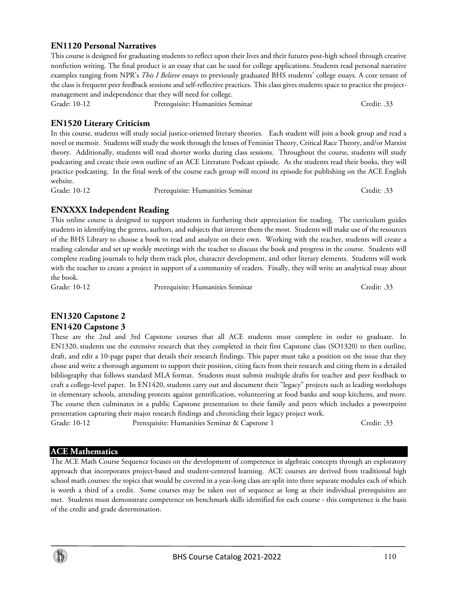## **EN1120 Personal Narratives**

This course is designed for graduating students to reflect upon their lives and their futures post-high school through creative nonfiction writing. The final product is an essay that can be used for college applications. Students read personal narrative examples ranging from NPR's *This I Believe* essays to previously graduated BHS students' college essays. A core tenant of the class is frequent peer feedback sessions and self-reflective practices. This class gives students space to practice the projectmanagement and independence that they will need for college. Grade: 10-12 Prerequisite: Humanities Seminar Credit: .33

**EN1520 Literary Criticism**

In this course, students will study social justice-oriented literary theories. Each student will join a book group and read a novel or memoir. Students will study the work through the lenses of Feminist Theory, Critical Race Theory, and/or Marxist theory. Additionally, students will read shorter works during class sessions. Throughout the course, students will study podcasting and create their own outline of an ACE Literature Podcast episode. As the students read their books, they will practice podcasting. In the final week of the course each group will record its episode for publishing on the ACE English website.

Grade: 10-12 Prerequisite: Humanities Seminar Credit: .33

## **ENXXXX Independent Reading**

This online course is designed to support students in furthering their appreciation for reading. The curriculum guides students in identifying the genres, authors, and subjects that interest them the most. Students will make use of the resources of the BHS Library to choose a book to read and analyze on their own. Working with the teacher, students will create a reading calendar and set up weekly meetings with the teacher to discuss the book and progress in the course. Students will complete reading journals to help them track plot, character development, and other literary elements. Students will work with the teacher to create a project in support of a community of readers. Finally, they will write an analytical essay about the book.

Grade: 10-12 Prerequisite: Humanities Seminar Credit: .33

# **EN1320 Capstone 2 EN1420 Capstone 3**

These are the 2nd and 3rd Capstone courses that all ACE students must complete in order to graduate. In EN1320, students use the extensive research that they completed in their first Capstone class (SO1320) to then outline, draft, and edit a 10-page paper that details their research findings. This paper must take a position on the issue that they chose and write a thorough argument to support their position, citing facts from their research and citing them in a detailed bibliography that follows standard MLA format. Students must submit multiple drafts for teacher and peer feedback to craft a college-level paper. In EN1420, students carry out and document their "legacy" projects such as leading workshops in elementary schools, attending protests against gentrification, volunteering at food banks and soup kitchens, and more. The course then culminates in a public Capstone presentation to their family and peers which includes a powerpoint presentation capturing their major research findings and chronicling their legacy project work.

Grade: 10-12 Prerequisite: Humanities Seminar & Capstone 1 Credit: .33

#### **ACE Mathematics**

The ACE Math Course Sequence focuses on the development of competence in algebraic concepts through an exploratory approach that incorporates project-based and student-centered learning. ACE courses are derived from traditional high school math courses: the topics that would be covered in a year-long class are split into three separate modules each of which is worth a third of a credit. Some courses may be taken out of sequence as long as their individual prerequisites are met. Students must demonstrate competence on benchmark skills identified for each course - this competence is the basis of the credit and grade determination.

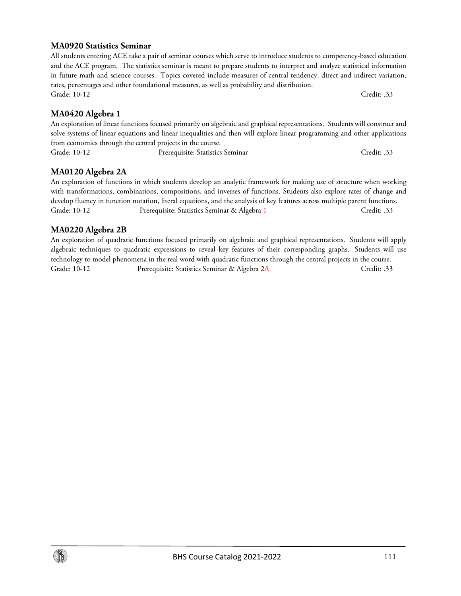# **MA0920 Statistics Seminar**

# **MA0420 Algebra 1**

from economics through the central projects in the course. Grade: 10-12 Prerequisite: Statistics Seminar Credit: .33

rates, percentages and other foundational measures, as well as probability and distribution.

# **MA0120 Algebra 2A**

An exploration of functions in which students develop an analytic framework for making use of structure when working with transformations, combinations, compositions, and inverses of functions. Students also explore rates of change and develop fluency in function notation, literal equations, and the analysis of key features across multiple parent functions. Grade: 10-12 Prerequisite: Statistics Seminar & Algebra 1 Credit: .33

All students entering ACE take a pair of seminar courses which serve to introduce students to competency-based education and the ACE program. The statistics seminar is meant to prepare students to interpret and analyze statistical information in future math and science courses. Topics covered include measures of central tendency, direct and indirect variation,

Grade: 10-12 Credit: .33

# **MA0220 Algebra 2B**

An exploration of quadratic functions focused primarily on algebraic and graphical representations. Students will apply algebraic techniques to quadratic expressions to reveal key features of their corresponding graphs. Students will use technology to model phenomena in the real word with quadratic functions through the central projects in the course. Grade: 10-12 Prerequisite: Statistics Seminar & Algebra 2A Credit: .33

An exploration of linear functions focused primarily on algebraic and graphical representations. Students will construct and solve systems of linear equations and linear inequalities and then will explore linear programming and other applications

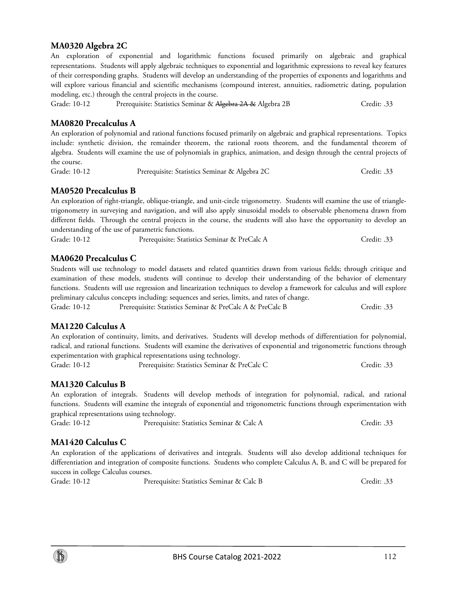## **MA0320 Algebra 2C**

An exploration of exponential and logarithmic functions focused primarily on algebraic and graphical representations. Students will apply algebraic techniques to exponential and logarithmic expressions to reveal key features of their corresponding graphs. Students will develop an understanding of the properties of exponents and logarithms and will explore various financial and scientific mechanisms (compound interest, annuities, radiometric dating, population modeling, etc.) through the central projects in the course.

Grade: 10-12 Prerequisite: Statistics Seminar & Algebra 2A & Algebra 2B Credit: .33

#### **MA0820 Precalculus A**

An exploration of polynomial and rational functions focused primarily on algebraic and graphical representations. Topics include: synthetic division, the remainder theorem, the rational roots theorem, and the fundamental theorem of algebra. Students will examine the use of polynomials in graphics, animation, and design through the central projects of the course.

Grade: 10-12 Prerequisite: Statistics Seminar & Algebra 2C Credit: .33

## **MA0520 Precalculus B**

An exploration of right-triangle, oblique-triangle, and unit-circle trigonometry. Students will examine the use of triangletrigonometry in surveying and navigation, and will also apply sinusoidal models to observable phenomena drawn from different fields. Through the central projects in the course, the students will also have the opportunity to develop an understanding of the use of parametric functions.

Grade: 10-12 Prerequisite: Statistics Seminar & PreCalc A Credit: .33

#### **MA0620 Precalculus C**

Students will use technology to model datasets and related quantities drawn from various fields; through critique and examination of these models, students will continue to develop their understanding of the behavior of elementary functions. Students will use regression and linearization techniques to develop a framework for calculus and will explore preliminary calculus concepts including: sequences and series, limits, and rates of change.

Grade: 10-12 Prerequisite: Statistics Seminar & PreCalc A & PreCalc B Credit: .33

#### **MA1220 Calculus A**

An exploration of continuity, limits, and derivatives. Students will develop methods of differentiation for polynomial, radical, and rational functions. Students will examine the derivatives of exponential and trigonometric functions through experimentation with graphical representations using technology.

Grade: 10-12 Prerequisite: Statistics Seminar & PreCalc C Credit: .33

#### **MA1320 Calculus B**

An exploration of integrals. Students will develop methods of integration for polynomial, radical, and rational functions. Students will examine the integrals of exponential and trigonometric functions through experimentation with graphical representations using technology.

Grade: 10-12 Prerequisite: Statistics Seminar & Calc A Credit: .33

## **MA1420 Calculus C**

An exploration of the applications of derivatives and integrals. Students will also develop additional techniques for differentiation and integration of composite functions. Students who complete Calculus A, B, and C will be prepared for success in college Calculus courses.

Grade: 10-12 Prerequisite: Statistics Seminar & Calc B Credit: .33

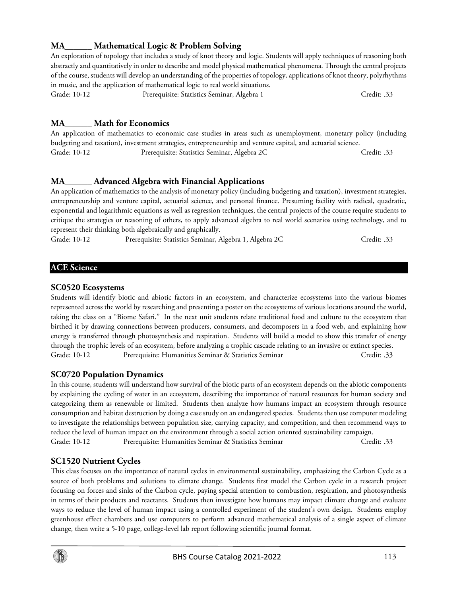# **MA\_\_\_\_\_\_ Advanced Algebra with Financial Applications**

An application of mathematics to the analysis of monetary policy (including budgeting and taxation), investment strategies, entrepreneurship and venture capital, actuarial science, and personal finance. Presuming facility with radical, quadratic, exponential and logarithmic equations as well as regression techniques, the central projects of the course require students to critique the strategies or reasoning of others, to apply advanced algebra to real world scenarios using technology, and to represent their thinking both algebraically and graphically.

Grade: 10-12 Prerequisite: Statistics Seminar, Algebra 1, Algebra 2C Credit: .33

# **ACE Science**

## **SC0520 Ecosystems**

Students will identify biotic and abiotic factors in an ecosystem, and characterize ecosystems into the various biomes represented across the world by researching and presenting a poster on the ecosystems of various locations around the world, taking the class on a "Biome Safari." In the next unit students relate traditional food and culture to the ecosystem that birthed it by drawing connections between producers, consumers, and decomposers in a food web, and explaining how energy is transferred through photosynthesis and respiration. Students will build a model to show this transfer of energy through the trophic levels of an ecosystem, before analyzing a trophic cascade relating to an invasive or extinct species. Grade: 10-12 Prerequisite: Humanities Seminar & Statistics Seminar Credit: .33

## **SC0720 Population Dynamics**

In this course, students will understand how survival of the biotic parts of an ecosystem depends on the abiotic components by explaining the cycling of water in an ecosystem, describing the importance of natural resources for human society and categorizing them as renewable or limited. Students then analyze how humans impact an ecosystem through resource consumption and habitat destruction by doing a case study on an endangered species. Students then use computer modeling to investigate the relationships between population size, carrying capacity, and competition, and then recommend ways to reduce the level of human impact on the environment through a social action oriented sustainability campaign. Grade: 10-12 Prerequisite: Humanities Seminar & Statistics Seminar Credit: .33

# **SC1520 Nutrient Cycles**

This class focuses on the importance of natural cycles in environmental sustainability, emphasizing the Carbon Cycle as a source of both problems and solutions to climate change. Students first model the Carbon cycle in a research project focusing on forces and sinks of the Carbon cycle, paying special attention to combustion, respiration, and photosynthesis in terms of their products and reactants. Students then investigate how humans may impact climate change and evaluate ways to reduce the level of human impact using a controlled experiment of the student's own design. Students employ greenhouse effect chambers and use computers to perform advanced mathematical analysis of a single aspect of climate change, then write a 5-10 page, college-level lab report following scientific journal format.



## **MA\_\_\_\_\_\_ Mathematical Logic & Problem Solving**

**MA\_\_\_\_\_\_ Math for Economics**

An exploration of topology that includes a study of knot theory and logic. Students will apply techniques of reasoning both abstractly and quantitatively in order to describe and model physical mathematical phenomena. Through the central projects of the course, students will develop an understanding of the properties of topology, applications of knot theory, polyrhythms in music, and the application of mathematical logic to real world situations. Grade: 10-12 Prerequisite: Statistics Seminar, Algebra 1 Credit: .33

An application of mathematics to economic case studies in areas such as unemployment, monetary policy (including

Grade: 10-12 Prerequisite: Statistics Seminar, Algebra 2C Credit: .33

budgeting and taxation), investment strategies, entrepreneurship and venture capital, and actuarial science.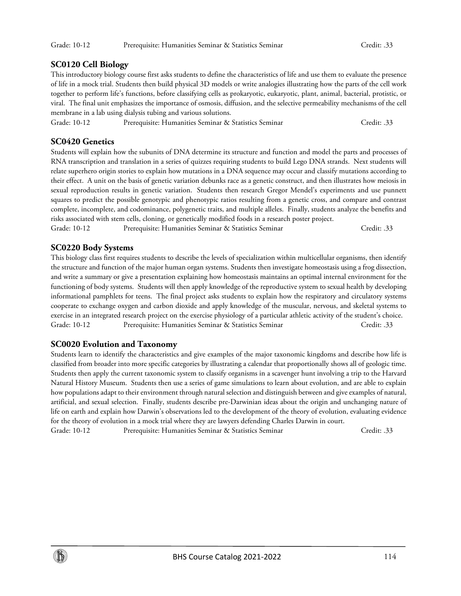#### Grade: 10-12 Prerequisite: Humanities Seminar & Statistics Seminar Credit: .33

# **SC0120 Cell Biology**

This introductory biology course first asks students to define the characteristics of life and use them to evaluate the presence of life in a mock trial. Students then build physical 3D models or write analogies illustrating how the parts of the cell work together to perform life's functions, before classifying cells as prokaryotic, eukaryotic, plant, animal, bacterial, protistic, or viral. The final unit emphasizes the importance of osmosis, diffusion, and the selective permeability mechanisms of the cell membrane in a lab using dialysis tubing and various solutions.

Grade: 10-12 Prerequisite: Humanities Seminar & Statistics Seminar Credit: .33

# **SC0420 Genetics**

Students will explain how the subunits of DNA determine its structure and function and model the parts and processes of RNA transcription and translation in a series of quizzes requiring students to build Lego DNA strands. Next students will relate superhero origin stories to explain how mutations in a DNA sequence may occur and classify mutations according to their effect. A unit on the basis of genetic variation debunks race as a genetic construct, and then illustrates how meiosis in sexual reproduction results in genetic variation. Students then research Gregor Mendel's experiments and use punnett squares to predict the possible genotypic and phenotypic ratios resulting from a genetic cross, and compare and contrast complete, incomplete, and codominance, polygenetic traits, and multiple alleles. Finally, students analyze the benefits and risks associated with stem cells, cloning, or genetically modified foods in a research poster project.

Grade: 10-12 Prerequisite: Humanities Seminar & Statistics Seminar Credit: .33

# **SC0220 Body Systems**

This biology class first requires students to describe the levels of specialization within multicellular organisms, then identify the structure and function of the major human organ systems. Students then investigate homeostasis using a frog dissection, and write a summary or give a presentation explaining how homeostasis maintains an optimal internal environment for the functioning of body systems. Students will then apply knowledge of the reproductive system to sexual health by developing informational pamphlets for teens. The final project asks students to explain how the respiratory and circulatory systems cooperate to exchange oxygen and carbon dioxide and apply knowledge of the muscular, nervous, and skeletal systems to exercise in an integrated research project on the exercise physiology of a particular athletic activity of the student's choice. Grade: 10-12 Prerequisite: Humanities Seminar & Statistics Seminar Credit: .33

## **SC0020 Evolution and Taxonomy**

Students learn to identify the characteristics and give examples of the major taxonomic kingdoms and describe how life is classified from broader into more specific categories by illustrating a calendar that proportionally shows all of geologic time. Students then apply the current taxonomic system to classify organisms in a scavenger hunt involving a trip to the Harvard Natural History Museum. Students then use a series of game simulations to learn about evolution, and are able to explain how populations adapt to their environment through natural selection and distinguish between and give examples of natural, artificial, and sexual selection. Finally, students describe pre-Darwinian ideas about the origin and unchanging nature of life on earth and explain how Darwin's observations led to the development of the theory of evolution, evaluating evidence for the theory of evolution in a mock trial where they are lawyers defending Charles Darwin in court.

Grade: 10-12 Prerequisite: Humanities Seminar & Statistics Seminar Credit: .33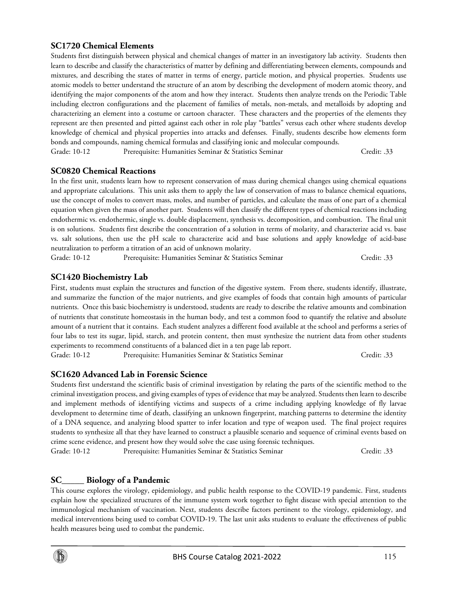# **SC1720 Chemical Elements**

Students first distinguish between physical and chemical changes of matter in an investigatory lab activity. Students then learn to describe and classify the characteristics of matter by defining and differentiating between elements, compounds and mixtures, and describing the states of matter in terms of energy, particle motion, and physical properties. Students use atomic models to better understand the structure of an atom by describing the development of modern atomic theory, and identifying the major components of the atom and how they interact. Students then analyze trends on the Periodic Table including electron configurations and the placement of families of metals, non-metals, and metalloids by adopting and characterizing an element into a costume or cartoon character. These characters and the properties of the elements they represent are then presented and pitted against each other in role play "battles" versus each other where students develop knowledge of chemical and physical properties into attacks and defenses. Finally, students describe how elements form bonds and compounds, naming chemical formulas and classifying ionic and molecular compounds.

Grade: 10-12 Prerequisite: Humanities Seminar & Statistics Seminar Credit: .33

# **SC0820 Chemical Reactions**

In the first unit, students learn how to represent conservation of mass during chemical changes using chemical equations and appropriate calculations. This unit asks them to apply the law of conservation of mass to balance chemical equations, use the concept of moles to convert mass, moles, and number of particles, and calculate the mass of one part of a chemical equation when given the mass of another part. Students will then classify the different types of chemical reactions including endothermic vs. endothermic, single vs. double displacement, synthesis vs. decomposition, and combustion. The final unit is on solutions. Students first describe the concentration of a solution in terms of molarity, and characterize acid vs. base vs. salt solutions, then use the pH scale to characterize acid and base solutions and apply knowledge of acid-base neutralization to perform a titration of an acid of unknown molarity.

Grade: 10-12 Prerequisite: Humanities Seminar & Statistics Seminar Credit: .33

# **SC1420 Biochemistry Lab**

First, students must explain the structures and function of the digestive system. From there, students identify, illustrate, and summarize the function of the major nutrients, and give examples of foods that contain high amounts of particular nutrients. Once this basic biochemistry is understood, students are ready to describe the relative amounts and combination of nutrients that constitute homeostasis in the human body, and test a common food to quantify the relative and absolute amount of a nutrient that it contains. Each student analyzes a different food available at the school and performs a series of four labs to test its sugar, lipid, starch, and protein content, then must synthesize the nutrient data from other students experiments to recommend constituents of a balanced diet in a ten page lab report. Grade: 10-12 Prerequisite: Humanities Seminar & Statistics Seminar Credit: .33

**SC1620 Advanced Lab in Forensic Science** 

Students first understand the scientific basis of criminal investigation by relating the parts of the scientific method to the criminal investigation process, and giving examples of types of evidence that may be analyzed. Students then learn to describe and implement methods of identifying victims and suspects of a crime including applying knowledge of fly larvae development to determine time of death, classifying an unknown fingerprint, matching patterns to determine the identity of a DNA sequence, and analyzing blood spatter to infer location and type of weapon used. The final project requires students to synthesize all that they have learned to construct a plausible scenario and sequence of criminal events based on crime scene evidence, and present how they would solve the case using forensic techniques.

Grade: 10-12 Prerequisite: Humanities Seminar & Statistics Seminar Credit: .33

# **SC\_\_\_\_\_ Biology of a Pandemic**

This course explores the virology, epidemiology, and public health response to the COVID-19 pandemic. First, students explain how the specialized structures of the immune system work together to fight disease with special attention to the immunological mechanism of vaccination. Next, students describe factors pertinent to the virology, epidemiology, and medical interventions being used to combat COVID-19. The last unit asks students to evaluate the effectiveness of public health measures being used to combat the pandemic.

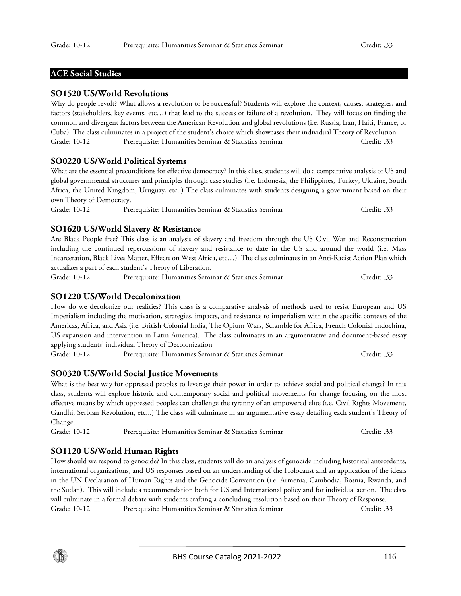## **ACE Social Studies**

### **SO1520 US/World Revolutions**

Why do people revolt? What allows a revolution to be successful? Students will explore the context, causes, strategies, and factors (stakeholders, key events, etc…) that lead to the success or failure of a revolution. They will focus on finding the common and divergent factors between the American Revolution and global revolutions (i.e. Russia, Iran, Haiti, France, or Cuba). The class culminates in a project of the student's choice which showcases their individual Theory of Revolution. Grade: 10-12 Prerequisite: Humanities Seminar & Statistics Seminar Credit: .33

#### **SO0220 US/World Political Systems**

What are the essential preconditions for effective democracy? In this class, students will do a comparative analysis of US and global governmental structures and principles through case studies (i.e. Indonesia, the Philippines, Turkey, Ukraine, South Africa, the United Kingdom, Uruguay, etc..) The class culminates with students designing a government based on their own Theory of Democracy.

Grade: 10-12 Prerequisite: Humanities Seminar & Statistics Seminar Credit: .33

## **SO1620 US/World Slavery & Resistance**

Are Black People free? This class is an analysis of slavery and freedom through the US Civil War and Reconstruction including the continued repercussions of slavery and resistance to date in the US and around the world (i.e. Mass Incarceration, Black Lives Matter, Effects on West Africa, etc…). The class culminates in an Anti-Racist Action Plan which actualizes a part of each student's Theory of Liberation.

Grade: 10-12 Prerequisite: Humanities Seminar & Statistics Seminar Credit: .33

## **SO1220 US/World Decolonization**

How do we decolonize our realities? This class is a comparative analysis of methods used to resist European and US Imperialism including the motivation, strategies, impacts, and resistance to imperialism within the specific contexts of the Americas, Africa, and Asia (i.e. British Colonial India, The Opium Wars, Scramble for Africa, French Colonial Indochina, US expansion and intervention in Latin America). The class culminates in an argumentative and document-based essay applying students' individual Theory of Decolonization

Grade: 10-12 Prerequisite: Humanities Seminar & Statistics Seminar Credit: .33

#### **SO0320 US/World Social Justice Movements**

What is the best way for oppressed peoples to leverage their power in order to achieve social and political change? In this class, students will explore historic and contemporary social and political movements for change focusing on the most effective means by which oppressed peoples can challenge the tyranny of an empowered elite (i.e. Civil Rights Movement, Gandhi, Serbian Revolution, etc...) The class will culminate in an argumentative essay detailing each student's Theory of Change.

Grade: 10-12 Prerequisite: Humanities Seminar & Statistics Seminar Credit: .33

## **SO1120 US/World Human Rights**

How should we respond to genocide? In this class, students will do an analysis of genocide including historical antecedents, international organizations, and US responses based on an understanding of the Holocaust and an application of the ideals in the UN Declaration of Human Rights and the Genocide Convention (i.e. Armenia, Cambodia, Bosnia, Rwanda, and the Sudan). This will include a recommendation both for US and International policy and for individual action. The class will culminate in a formal debate with students crafting a concluding resolution based on their Theory of Response. Grade: 10-12 Prerequisite: Humanities Seminar & Statistics Seminar Credit: .33